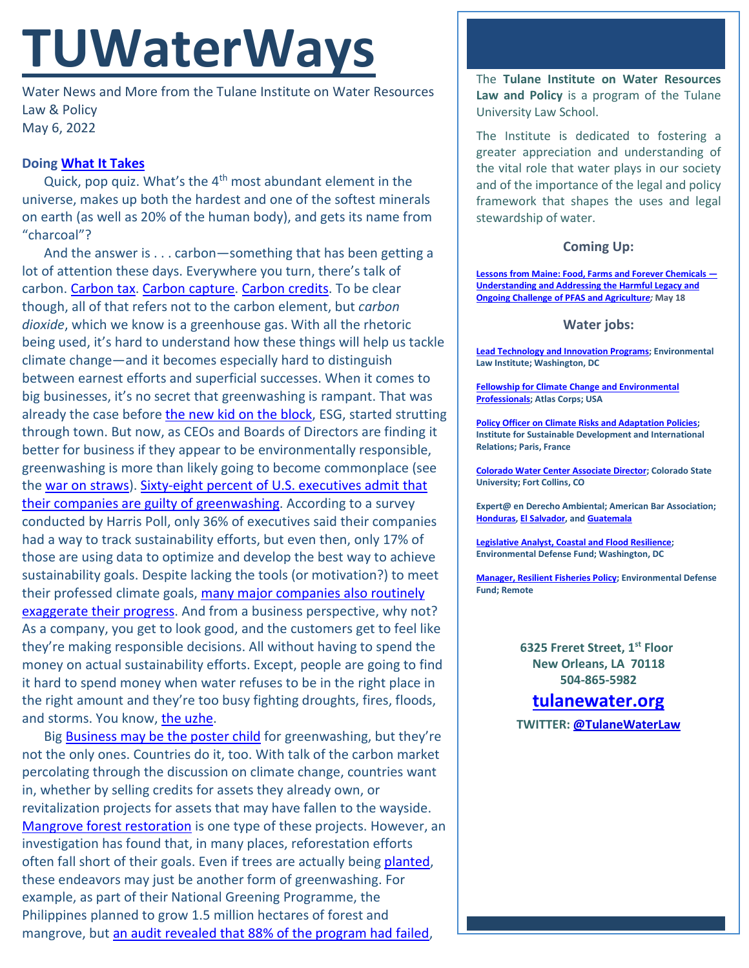# **TUWaterWays**

Water News and More from the Tulane Institute on Water Resources Law & Policy May 6, 2022

## **Doing [What It Takes](https://www.youtube.com/watch?v=MM_jFefnUJw)**

Quick, pop quiz. What's the 4<sup>th</sup> most abundant element in the universe, makes up both the hardest and one of the softest minerals on earth (as well as 20% of the human body), and gets its name from "charcoal"?

And the answer is . . . carbon—something that has been getting a lot of attention these days. Everywhere you turn, there's talk of carbon[. Carbon tax.](https://thehill.com/policy/energy-environment/overnights/3476303-energy-environment-lawmakers-weigh-carbon-import-tariff/) [Carbon capture.](https://www.businessreport.com/industry/companies-plan-carbon-capture-transport-to-livingston-parish) [Carbon credits.](https://www.bloomberg.com/news/articles/2022-04-28/the-bahamas-plans-to-sell-blue-carbon-credits-in-2022-pm-says) To be clear though, all of that refers not to the carbon element, but *carbon dioxide*, which we know is a greenhouse gas. With all the rhetoric being used, it's hard to understand how these things will help us tackle climate change—and it becomes especially hard to distinguish between earnest efforts and superficial successes. When it comes to big businesses, it's no secret that greenwashing is rampant. That was already the case before [the new kid on the block,](https://www.youtube.com/watch?v=nQEBKm3byz4) ESG, started strutting through town. But now, as CEOs and Boards of Directors are finding it better for business if they appear to be environmentally responsible, greenwashing is more than likely going to become commonplace (see the [war on straws\)](https://today.wayne.edu/news/2022/04/21/the-flaws-of-straws-graduate-student-looks-at-greenwashing-social-media-and-the-straw-ban-movement-47748). [Sixty-eight percent of U.S. executives admit that](https://www.fastcompany.com/90740501/68-of-u-s-execs-admit-their-companies-are-guilty-of-greenwashing)  [their companies are guilty of greenwashing.](https://www.fastcompany.com/90740501/68-of-u-s-execs-admit-their-companies-are-guilty-of-greenwashing) According to a survey conducted by Harris Poll, only 36% of executives said their companies had a way to track sustainability efforts, but even then, only 17% of those are using data to optimize and develop the best way to achieve sustainability goals. Despite lacking the tools (or motivation?) to meet their professed climate goals, many major companies also routinely exaggerate their progress</u>. And from a business perspective, why not? As a company, you get to look good, and the customers get to feel like they're making responsible decisions. All without having to spend the money on actual sustainability efforts. Except, people are going to find it hard to spend money when water refuses to be in the right place in the right amount and they're too busy fighting droughts, fires, floods, and storms. You know, [the uzhe.](https://www.merriam-webster.com/words-at-play/ill-have-the-usual)

Big Business [may be the poster child](https://www.youtube.com/watch?v=T8LjN7rd4VI) for greenwashing, but they're not the only ones. Countries do it, too. With talk of the carbon market percolating through the discussion on climate change, countries want in, whether by selling credits for assets they already own, or revitalization projects for assets that may have fallen to the wayside. [Mangrove forest restoration](https://apnews.com/article/climate-business-forests-kenya-senegal-55e9a9419fc3d2b9bb8bc33dae2d2174) is one type of these projects. However, an investigation has found that, in many places, reforestation efforts often fall short of their goals. Even if trees are actually being [planted,](https://www.youtube.com/watch?v=cMNVwkxoW6k) these endeavors may just be another form of greenwashing. For example, as part of their National Greening Programme, the Philippines planned to grow 1.5 million hectares of forest and mangrove, but [an audit revealed that 88% of the program had failed,](https://www.bbc.com/news/science-environment-61300708)

The **Tulane Institute on Water Resources Law and Policy** is a program of the Tulane University Law School.

The Institute is dedicated to fostering a greater appreciation and understanding of the vital role that water plays in our society and of the importance of the legal and policy framework that shapes the uses and legal stewardship of water.

### **Coming Up:**

**[Lessons from Maine: Food, Farms and Forever Chemicals —](https://us02web.zoom.us/webinar/register/7716503016375/WN_ywdHPioiQLShfqOysfq7kg) [Understanding and Addressing the Harmful Legacy and](https://us02web.zoom.us/webinar/register/7716503016375/WN_ywdHPioiQLShfqOysfq7kg)  [Ongoing Challenge of PFAS and Agricultur](https://us02web.zoom.us/webinar/register/7716503016375/WN_ywdHPioiQLShfqOysfq7kg)***e;* **May 18**

#### **Water jobs:**

**[Lead Technology and Innovation Programs;](https://workforcenow.adp.com/mascsr/default/mdf/recruitment/recruitment.html?cid=82bc5b12-ae17-4634-b907-3b62f1097668&ccId=19000101_000001&jobId=440384&source=CC2&lang=en_US) Environmental Law Institute; Washington, DC**

**[Fellowship for Climate Change and Environmental](https://atlascorps.org/atlas-corps-fellowship-for-climate-change-and-environmental-professionals/)  [Professionals;](https://atlascorps.org/atlas-corps-fellowship-for-climate-change-and-environmental-professionals/) Atlas Corps; USA**

**[Policy Officer on Climate Risks and Adaptation Policies;](https://www.iddri.org/en/about-iddri/carreers/policy-officer-climate-risks-and-adaptation-policies) Institute for Sustainable Development and International Relations; Paris, France**

**[Colorado Water Center Associate Director;](https://jobs.colostate.edu/postings/103021) Colorado State University; Fort Collins, CO**

**Expert@ en Derecho Ambiental; American Bar Association; [Honduras,](https://www.devex.com/jobs/experto-a-en-derecho-ambiental-honduras-environmental-law-expert-honduras-982971?q=https%3A%2F%2Fwww.devex.com%2Fjobs%2Fsearch%2F%3Ffilter%255Bkeywords%255D%255B%255D%3Denvironmental%26page%255Bnumber%255D%3D6%26sorting%255Bfield%255D%3Dupdated_at%26sorting%255Border%255D%3Ddesc) [El Salvador,](https://www.devex.com/jobs/experto-a-en-derecho-ambiental-el-salvador-environmental-law-expert-el-salvador-982959?q=https%3A%2F%2Fwww.devex.com%2Fjobs%2Fsearch%2F%3Ffilter%255Bkeywords%255D%255B%255D%3Denvironmental%26page%255Bnumber%255D%3D6%26sorting%255Bfield%255D%3Dupdated_at%26sorting%255Border%255D%3Ddesc) an[d Guatemala](https://www.devex.com/jobs/experto-a-en-derecho-ambiental-guatemala-environmental-law-expert-guatemala-982961?q=https%3A%2F%2Fwww.devex.com%2Fjobs%2Fsearch%2F%3Ffilter%255Bkeywords%255D%255B%255D%3Denvironmental%26page%255Bnumber%255D%3D6%26sorting%255Bfield%255D%3Dupdated_at%26sorting%255Border%255D%3Ddesc)**

**[Legislative Analyst, Coastal and Flood Resilience;](https://careers-edf.icims.com/jobs/3620/legislative-analyst%2c-coastal-and-flood-resilience/job?mobile=false&width=960&height=500&bga=true&needsRedirect=false&jan1offset=-360&jun1offset=-300) Environmental Defense Fund; Washington, DC**

**[Manager, Resilient Fisheries Policy;](https://www.edf.org/jobs/manager-resilient-fisheries-policy) Environmental Defense Fund; Remote**

> **6325 Freret Street, 1st Floor New Orleans, LA 70118 504-865-5982**

# **tulanewater.org**

**TWITTER: [@TulaneWaterLaw](http://www.twitter.com/TulaneWaterLaw)**